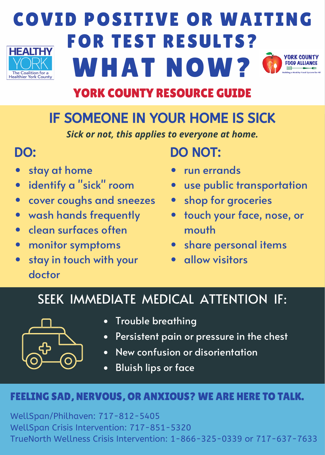

# COVID POSITIVE OR WAITING FOR TEST RESULTS? WHAT NOW?

# YORK COUNTY RESOURCE GUIDE

# IF SOMEONE IN YOUR HOME IS SICK

*Sick or not, this applies to everyone at home.*

- stay at home
- identify a "sick" room
- cover coughs and sneezes  $\bullet$
- wash hands frequently  $\bullet$
- clean surfaces often  $\bullet$
- monitor symptoms  $\bullet$
- stay in touch with your doctor

# DO: DO NOT:

- run errands
- use public transportation
- shop for groceries  $\bullet$
- touch your face, nose, or mouth
- share personal items
- allow visitors

# SEEK IMMEDIATE MEDICAL ATTENTION IF:



- Trouble breathing
- Persistent pain or pressure in the chest
- New confusion or disorientation
- Bluish lips or face  $\bullet$

### FEELING SAD, NERVOUS, OR ANXIOUS? WE ARE HERE TO TALK.

WellSpan/Philhaven: 717-812-5405 WellSpan Crisis Intervention: 717-851-5320 TrueNorth Wellness Crisis Intervention: 1-866-325-0339 or 717-637-7633